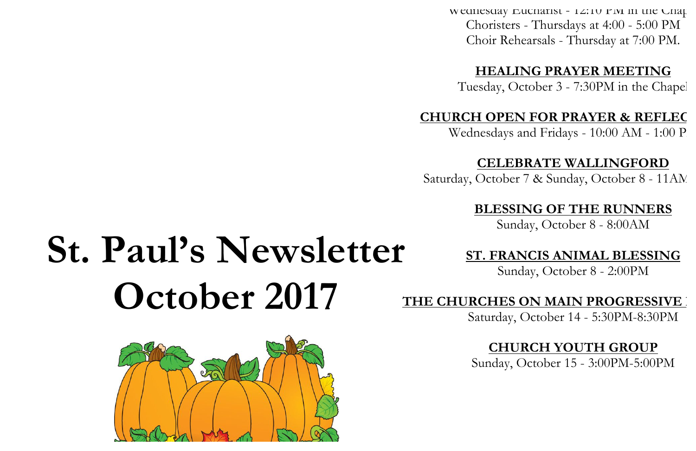Wednesday Eucharist - 12:10 PM in the Chap Choristers - Thursdays at 4:00 - 5:00 PM Choir Rehearsals - Thursday at 7:00 PM.

#### **HEALING PRAYER MEETING**

Tuesday, October 3 - 7:30PM in the Chapel

#### **CHURCH OPEN FOR PRAYER & REFLEC**

Wednesdays and Fridays -  $10:00$  AM -  $1:00$  P

#### **CELEBRATE WALLINGFORD**

Saturday, October 7 & Sunday, October 8 - 11AM

#### **BLESSING OF THE RUNNERS**

Sunday, October 8 - 8:00AM

#### **ST. FRANCIS ANIMAL BLESSING**

Sunday, October 8 - 2:00PM

#### THE CHURCHES ON MAIN PROGRESSIVE

Saturday, October 14 - 5:30PM-8:30PM

#### **CHURCH YOUTH GROUP**

Sunday, October 15 - 3:00PM-5:00PM

# **St. Paul's Newsletter October 2017**

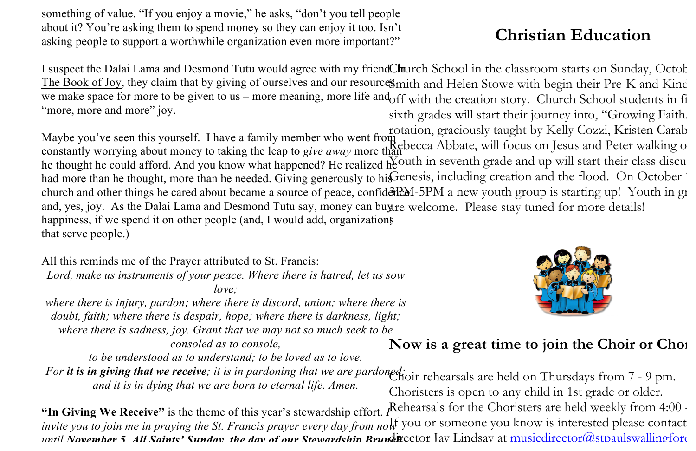something of value. "If you enjoy a movie," he asks, "don't you tell people about it? You're asking them to spend money so they can enjoy it too. Isn't asking people to support a worthwhile organization even more important?"

I suspect the Dalai Lama and Desmond Tutu would agree with my friendChurch School in the classroom starts on Sunday, Octob The Book of Joy, they claim that by giving of ourselves and our resources mith and Helen Stowe with begin their Pre-K and Kind we make space for more to be given to us – more meaning, more life and off with the creation story. Church School students in fi "more, more and more" joy. sixth grades will start their journey into, "Growing Faith.

Maybe you've seen this yourself. I have a family member who went from constantly worrying about money to taking the leap to *give away* more than the thought he could afford. And you know what happened? He realized  $h_{\rm c}^{\rm K}$  and  $h_{\rm c}^{\rm K}$  and  $h_{\rm c}^{\rm K}$  and  $h_{\rm c}^{\rm K}$  and  $h_{\rm c}^{\rm K}$  and  $h_{\rm c}^{\rm K}$  and  $h_{\rm c}^{\rm K}$  and  $h_{\rm c}^{\rm K}$  and  $h_{\rm c}^$ had more than he thought, more than he needed. Giving generously to his Genesis, including creation and the flood. On October church and other things he cared about became a source of peace, confidented by a new youth group is starting up! Youth in grades and, yes, joy. As the Dalai Lama and Desmond Tutu say, money can buy are welcome. Please stay tuned for more details! happiness, if we spend it on other people (and, I would add, organizations that serve people.) rotation, graciously taught by Kelly Cozzi, Kristen Carab  $\frac{R}{2}$ ebecca Abbate, will focus on Jesus and Peter walking on

All this reminds me of the Prayer attributed to St. Francis: *Lord, make us instruments of your peace. Where there is hatred, let us sow love; where there is injury, pardon; where there is discord, union; where there is doubt, faith; where there is despair, hope; where there is darkness, light; where there is sadness, joy. Grant that we may not so much seek to be* 

*consoled as to console,*

*to be understood as to understand; to be loved as to love.*

*For it is in giving that we receive; it is in pardoning that we are pardoned;* Choir rehearsals are held on Thursdays from 7 - 9 pm. *and it is in dying that we are born to eternal life. Amen.*



### Now is a great time to join the Choir or Cho<sub>1</sub>

Choristers is open to any child in 1st grade or older.

**"In Giving We Receive"** is the theme of this year's stewardship effort. *PRehearsals for the Choristers are held weekly from 4:00* invite you to join me in praying the St. Francis prayer every day from now you or someone you know is interested please contact until November 5, All Saints' Sunday, the day of our Stewardship Rrundictor Lav Lindsay at musicdirector@stpaulswallingford

## **Christian Education**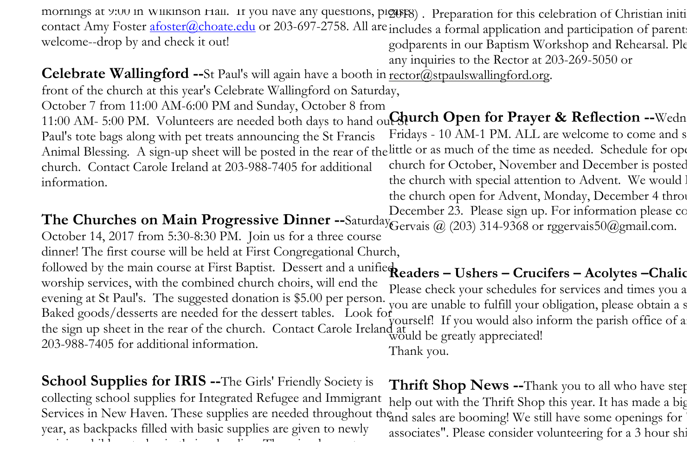mornings at 9:00 in Wilkinson Hall. If you have any questions, pleases). Preparation for this celebration of Christian initi contact Amy Foster *afoster@choate.edu* or 203-697-2758. All are includes a formal application and participation of parents welcome--drop by and check it out! godparents in our Baptism Workshop and Rehearsal. Ple

any inquiries to the Rector at 203-269-5050 or

Celebrate Wallingford --St Paul's will again have a booth in rector@stpaulswallingford.org.

front of the church at this year's Celebrate Wallingford on Saturday, October 7 from 11:00 AM-6:00 PM and Sunday, October 8 from 11:00 AM- 5:00 PM. Volunteers are needed both days to hand ou**t Aurch Open for Prayer & Reflection --**Wedn Paul's tote bags along with pet treats announcing the St Francis Animal Blessing. A sign-up sheet will be posted in the rear of the little or as much of the time as needed. Schedule for ope church. Contact Carole Ireland at 203-988-7405 for additional information. Fridays - 10 AM-1 PM. ALL are welcome to come and s church for October, November and December is posted the church with special attention to Advent. We would l the church open for Advent, Monday, December 4 through

**The Churches on Main Progressive Dinner** --Saturday<sub>Gervais</sub> @ (203) 314-9368 or rggervais50@gmail.com. October 14, 2017 from 5:30-8:30 PM. Join us for a three course dinner! The first course will be held at First Congregational Church, followed by the main course at First Baptist. Dessert and a unified **Readers – Ushers – Crucifers – Acolytes –Chalic** worship services, with the combined church choirs, will end the evening at St Paul's. The suggested donation is \$5.00 per person. Baked goods/desserts are needed for the dessert tables. Look for the sign up sheet in the rear of the church. Contact Carole Ireland at would be greatly appreciated! 203-988-7405 for additional information. December 23. Please sign up. For information please contact General General General General General General General General General General General General General General General General General General General General Ge Please check your schedules for services and times you a you are unable to fulfill your obligation, please obtain a s yourself! If you would also inform the parish office of a Thank you.

**School Supplies for IRIS --**The Girls' Friendly Society is collecting school supplies for Integrated Refugee and Immigrant Services in New Haven. These supplies are needed throughout the and sales are booming! We still have some openings for year, as backpacks filled with basic supplies are given to newly arriving children to begin their schooling. The schooling children their schooling. The schooling children the<br>The schooling **Thrift Shop News --**Thank you to all who have step help out with the Thrift Shop this year. It has made a big associates". Please consider volunteering for a 3 hour shi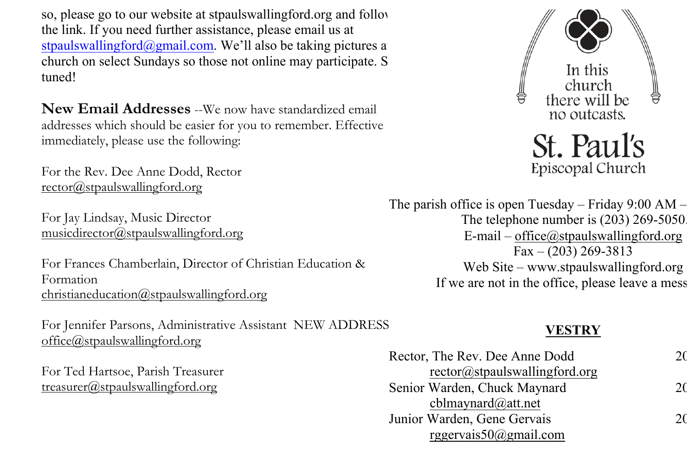so, please go to our website at stpaulswallingford.org and follow the link. If you need further assistance, please email us at stpaulswallingford@gmail.com. We'll also be taking pictures a church on select Sundays so those not online may participate. S tuned!

**New Email Addresses** --We now have standardized email addresses which should be easier for you to remember. Effective immediately, please use the following:

For the Rev. Dee Anne Dodd, Rector rector@stpaulswallingford.org

For Jay Lindsay, Music Director musicdirector@stpaulswallingford.org

For Frances Chamberlain, Director of Christian Education & Formation christianeducation@stpaulswallingford.org

For Jennifer Parsons, Administrative Assistant NEW ADDRESS office@stpaulswallingford.org

For Ted Hartsoe, Parish Treasurer treasurer@stpaulswallingford.org



St. Paul's Episcopal Church

The parish office is open Tuesday – Friday 9:00 AM – The telephone number is (203) 269-5050. E-mail – office@stpaulswallingford.org  $Fax - (203) 269 - 3813$ Web Site – www.stpaulswallingford.org If we are not in the office, please leave a mess

#### **VESTRY**

| Rector, The Rev. Dee Anne Dodd | 20 |
|--------------------------------|----|
| rector@stpaulswallingford.org  |    |
| Senior Warden, Chuck Maynard   | 2( |
| cblmaynard $@at$ .net          |    |
| Junior Warden, Gene Gervais    | 20 |
| rggervais $50$ @gmail.com      |    |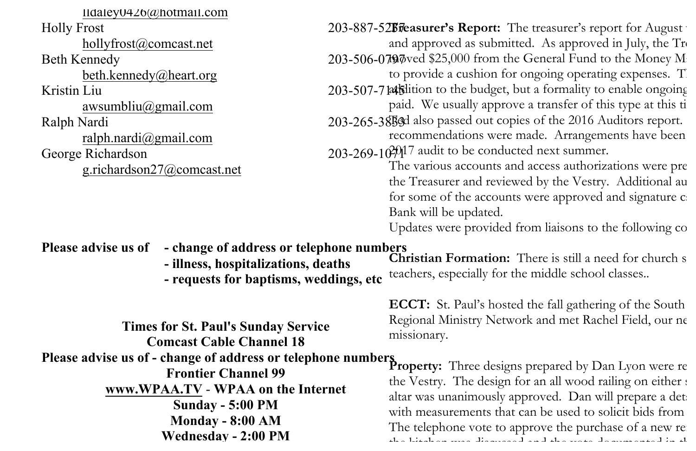| $Ildaley0426(a)$ hotmail.com |
|------------------------------|
| <b>Holly Frost</b>           |
| hollyfrost@comcast.net       |
| <b>Beth Kennedy</b>          |
| beth.kennedy@heart.org       |
| Kristin Liu                  |
| awsumbliu $\omega$ gmail.com |
| Ralph Nardi                  |
| ralph.nardi@gmail.com        |
| George Richardson            |
| g.richardson27@comcast.net   |
|                              |

Holly Frost **Example 203-887-525 Teasurer's Report:** The treasurer's report for August Beth Kennedy **203-506-0797** and \$25,000 from the General Fund to the Money Market Fund to the Money Market Fund to the Money Market Fund to the Money Market Fund to the Money Market Fund to the Money Market Fund to the Mon Kristin Liu 203-507-714 Kilition to the budget, but a formality to enable ongoing Ralph Nardi 203-265-38533 also passed out copies of the 2016 Auditors report. George Richardson 203-269-10<sup>20</sup>17 audit to be conducted next summer. and approved as submitted. As approved in July, the  $Tr$ to provide a cushion for ongoing operating expenses. The paid. We usually approve a transfer of this type at this time recommendations were made. Arrangements have been The various accounts and access authorizations were presented by

the Treasurer and reviewed by the Vestry. Additional au for some of the accounts were approved and signature cards Bank will be updated.

Updates were provided from liaisons to the following com-

#### **Please advise us of - change of address or telephone numbers**

- **- illness, hospitalizations, deaths**
- **- requests for baptisms, weddings, etc**

**Times for St. Paul's Sunday Service Comcast Cable Channel 18 Please advise us of - change of address or telephone numbers<br>
<b>Property:** Three designs prepared by Dan Lyon were re **Frontier Channel 99 www.WPAA.TV** - **WPAA on the Internet Sunday - 5:00 PM Monday - 8:00 AM Wednesday - 2:00 PM**

**Christian Formation:** There is still a need for church s teachers, especially for the middle school classes..

**ECCT:** St. Paul's hosted the fall gathering of the South Regional Ministry Network and met Rachel Field, our ne missionary.

the Vestry. The design for an all wood railing on either  $\epsilon$ altar was unanimously approved. Dan will prepare a detailed at  $\mathbf{I}$ with measurements that can be used to solicit bids from The telephone vote to approve the purchase of a new refr the kitchen was discussed and the vote documented in the September